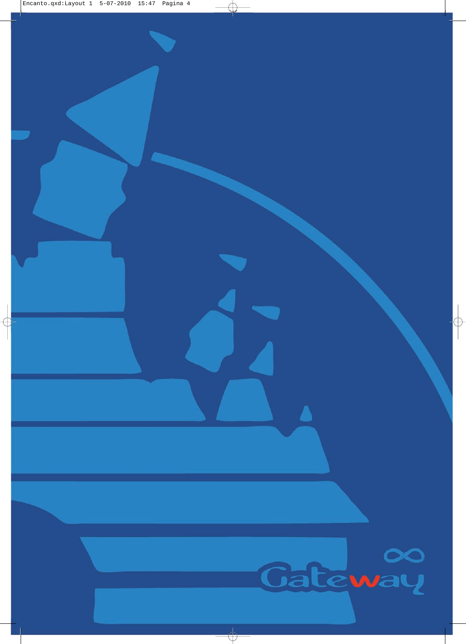